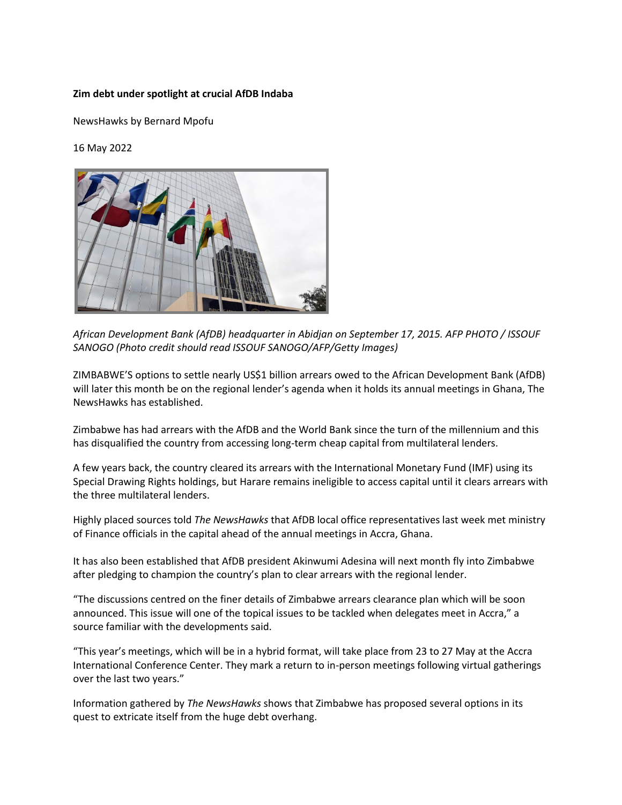## **Zim debt under spotlight at crucial AfDB Indaba**

NewsHawks by Bernard Mpofu

16 May 2022



*African Development Bank (AfDB) headquarter in Abidjan on September 17, 2015. AFP PHOTO / ISSOUF SANOGO (Photo credit should read ISSOUF SANOGO/AFP/Getty Images)*

ZIMBABWE'S options to settle nearly US\$1 billion arrears owed to the African Development Bank (AfDB) will later this month be on the regional lender's agenda when it holds its annual meetings in Ghana, The NewsHawks has established.

Zimbabwe has had arrears with the AfDB and the World Bank since the turn of the millennium and this has disqualified the country from accessing long-term cheap capital from multilateral lenders.

A few years back, the country cleared its arrears with the International Monetary Fund (IMF) using its Special Drawing Rights holdings, but Harare remains ineligible to access capital until it clears arrears with the three multilateral lenders.

Highly placed sources told *The NewsHawks* that AfDB local office representatives last week met ministry of Finance officials in the capital ahead of the annual meetings in Accra, Ghana.

It has also been established that AfDB president Akinwumi Adesina will next month fly into Zimbabwe after pledging to champion the country's plan to clear arrears with the regional lender.

"The discussions centred on the finer details of Zimbabwe arrears clearance plan which will be soon announced. This issue will one of the topical issues to be tackled when delegates meet in Accra," a source familiar with the developments said.

"This year's meetings, which will be in a hybrid format, will take place from 23 to 27 May at the Accra International Conference Center. They mark a return to in-person meetings following virtual gatherings over the last two years."

Information gathered by *The NewsHawks* shows that Zimbabwe has proposed several options in its quest to extricate itself from the huge debt overhang.